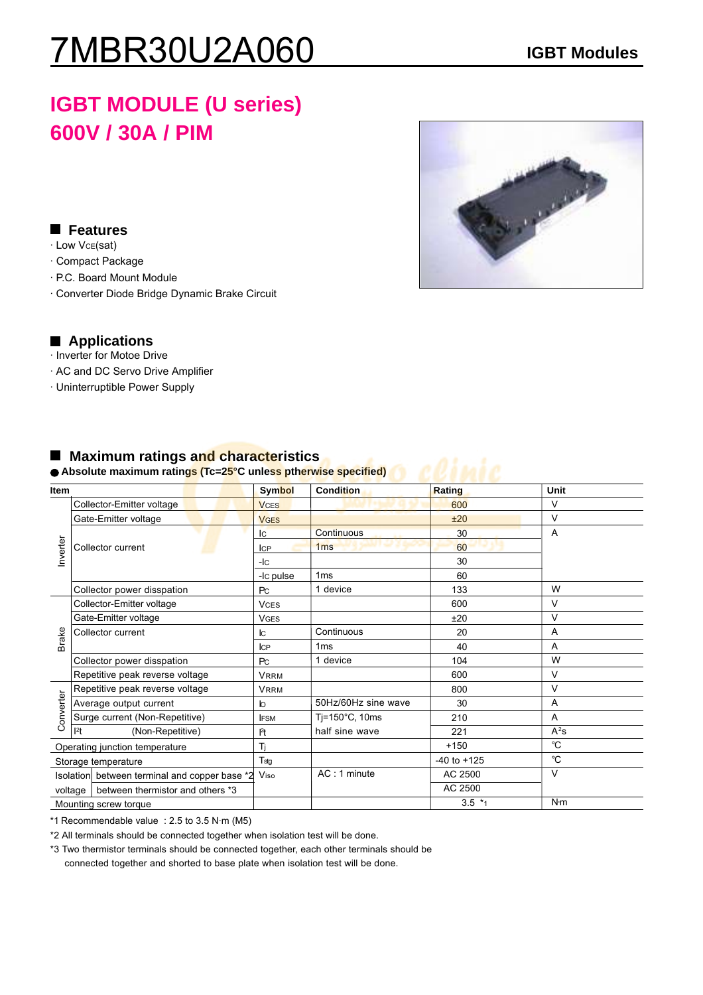# 7MBR30U2A060 **IGBT Modules**

## **IGBT MODULE (U series) 600V / 30A / PIM**

### **Features**

- · Low VCE(sat)
- · Compact Package
- · P.C. Board Mount Module
- · Converter Diode Bridge Dynamic Brake Circuit



### **Applications**

- · Inverter for Motoe Drive
- · AC and DC Servo Drive Amplifier
- · Uninterruptible Power Supply

| <b>Item</b>                    |                                               | Symbol           | <b>Condition</b>          | Rating          | Unit        |
|--------------------------------|-----------------------------------------------|------------------|---------------------------|-----------------|-------------|
| Inverter                       | Collector-Emitter voltage                     | <b>VCES</b>      |                           | 600             | $\vee$      |
|                                | Gate-Emitter voltage                          | <b>VGES</b>      |                           | ±20             | $\vee$      |
|                                |                                               | Iс               | Continuous                | 30              | Α           |
|                                | Collector current                             | <b>ICP</b>       | 1 <sub>ms</sub>           | 60              |             |
|                                |                                               | $-IC$            |                           | 30              |             |
|                                |                                               | -Ic pulse        | 1 <sub>ms</sub>           | 60              |             |
|                                | Collector power disspation                    | P <sub>C</sub>   | 1 device                  | 133             | W           |
| <b>Brake</b>                   | Collector-Emitter voltage                     | <b>VCES</b>      |                           | 600             | $\vee$      |
|                                | Gate-Emitter voltage                          | <b>VGES</b>      |                           | ±20             | $\vee$      |
|                                | Collector current                             | lс               | Continuous                | 20              | A           |
|                                |                                               | ICP              | 1 <sub>ms</sub>           | 40              | A           |
|                                | Collector power disspation                    | P <sub>C</sub>   | 1 device                  | 104             | W           |
|                                | Repetitive peak reverse voltage               | <b>VRRM</b>      |                           | 600             | $\vee$      |
|                                | Repetitive peak reverse voltage               | <b>VRRM</b>      |                           | 800             | $\vee$      |
|                                | Average output current                        | $\mathsf{I}$     | 50Hz/60Hz sine wave       | 30              | A           |
| Converter                      | Surge current (Non-Repetitive)                | <b>IFSM</b>      | Tj=150 $^{\circ}$ C, 10ms | 210             | A           |
|                                | l <sup>2</sup> t<br>(Non-Repetitive)          | $ ^{2}t $        | half sine wave            | 221             | $A^2S$      |
| Operating junction temperature |                                               | Tì               |                           | $+150$          | °C          |
| Storage temperature            |                                               | T <sub>stg</sub> |                           | $-40$ to $+125$ | $^{\circ}C$ |
|                                | Isolation between terminal and copper base *2 | Viso             | $AC:1$ minute             | AC 2500         | $\vee$      |
|                                | between thermistor and others *3<br>voltage   |                  |                           | AC 2500         |             |
|                                | Mounting screw torque                         |                  |                           | $3.5*1$         | N·m         |

### ■ Maximum ratings and characteristics

# ● Absolute maximum ratings (Tc=2<mark>5°</mark>C unless ptherwise specified)

\*1 Recommendable value : 2.5 to 3.5 N·m (M5)

\*2 All terminals should be connected together when isolation test will be done.

\*3 Two thermistor terminals should be connected together, each other terminals should be connected together and shorted to base plate when isolation test will be done.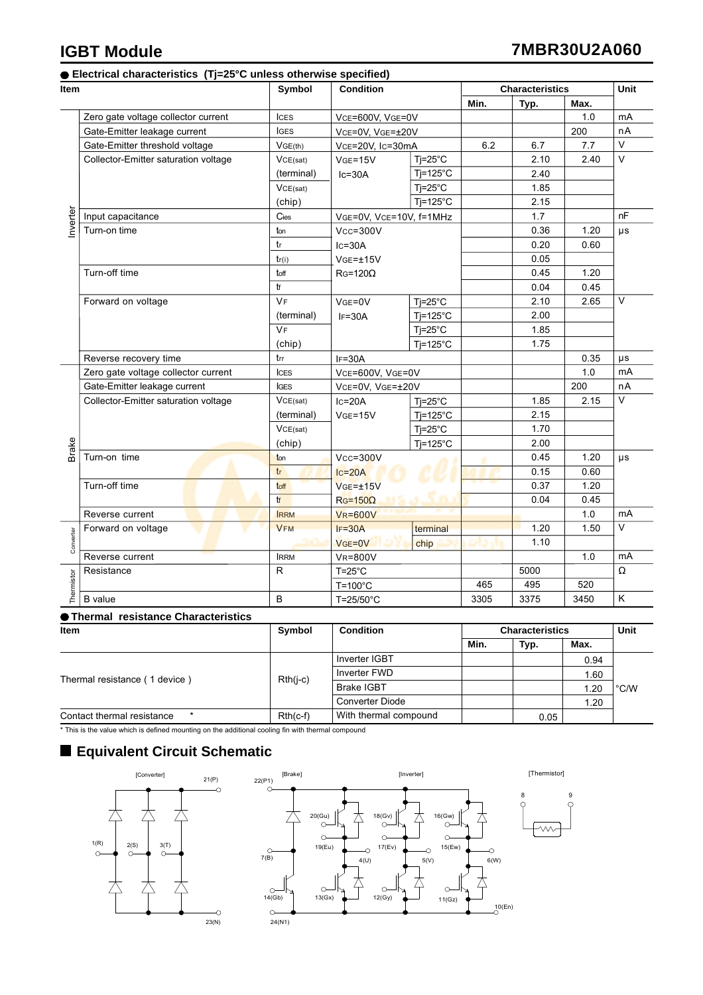### **Electrical characteristics (Tj=25°C unless otherwise specified)**

| ltem       |                                      | Symbol      | <b>Condition</b>                      |                     | <b>Characteristics</b> |      |      | Unit    |
|------------|--------------------------------------|-------------|---------------------------------------|---------------------|------------------------|------|------|---------|
|            |                                      |             |                                       |                     | Min.                   | Typ. | Max. |         |
| nverter    | Zero gate voltage collector current  | <b>ICES</b> | VCE=600V, VGE=0V                      |                     |                        |      | 1.0  | mA      |
|            | Gate-Emitter leakage current         | <b>IGES</b> | VCE=0V, VGE=±20V                      |                     |                        |      | 200  | nA      |
|            | Gate-Emitter threshold voltage       | VGE(th)     | VcE=20V, Ic=30mA                      |                     | 6.2                    | 6.7  | 7.7  | $\vee$  |
|            | Collector-Emitter saturation voltage | VCE(sat)    | $VGE=15V$                             | $Tj = 25^{\circ}C$  |                        | 2.10 | 2.40 | $\vee$  |
|            |                                      | (terminal)  | $lc = 30A$                            | $Tj=125^{\circ}C$   |                        | 2.40 |      |         |
|            |                                      | VCE(sat)    |                                       | $Tj = 25^{\circ}C$  |                        | 1.85 |      |         |
|            |                                      | (chip)      |                                       | $Ti=125^{\circ}C$   |                        | 2.15 |      |         |
|            | Input capacitance                    | Cies        | VGE=0V, VCE=10V, f=1MHz               |                     |                        | 1.7  |      | nF      |
|            | Turn-on time                         | ton         | $Vcc = 300V$                          |                     |                        | 0.36 | 1.20 | μs      |
|            |                                      | tr          | $lc = 30A$                            |                     |                        | 0.20 | 0.60 |         |
|            |                                      | tr(i)       | $VGE = \pm 15V$<br>$R$ G=120 $\Omega$ |                     |                        | 0.05 |      |         |
|            | Turn-off time                        | toff        |                                       |                     |                        | 0.45 | 1.20 |         |
|            |                                      | tf          |                                       |                     |                        | 0.04 | 0.45 |         |
|            | Forward on voltage                   | <b>VF</b>   | $VGE=0V$                              | $Ti=25^{\circ}C$    |                        | 2.10 | 2.65 | $\vee$  |
|            |                                      | (terminal)  | $IF=30A$                              | $Tj=125^{\circ}C$   |                        | 2.00 |      |         |
|            |                                      | <b>VF</b>   |                                       | $Ti=25^{\circ}C$    |                        | 1.85 |      |         |
|            |                                      | (chip)      |                                       | $Ti=125^{\circ}C$   |                        | 1.75 |      |         |
|            | Reverse recovery time                | trr         | $IF = 30A$                            |                     |                        |      | 0.35 | μs      |
|            | Zero gate voltage collector current  | <b>ICES</b> | VCE=600V, VGE=0V                      |                     |                        |      | 1.0  | mA      |
|            | Gate-Emitter leakage current         | <b>IGES</b> | VCE=0V, VGE=±20V                      |                     |                        |      | 200  | nA      |
|            | Collector-Emitter saturation voltage | VCE(sat)    | $lc = 20A$                            | $Ti=25^{\circ}C$    |                        | 1.85 | 2.15 | V       |
|            |                                      | (terminal)  | $VGE=15V$                             | $Tj = 125^{\circ}C$ |                        | 2.15 |      |         |
|            |                                      | VCE(sat)    |                                       | $Tj = 25^{\circ}C$  |                        | 1.70 |      |         |
| Brake      |                                      | (chip)      |                                       | $Ti=125^{\circ}C$   |                        | 2.00 |      |         |
|            | Turn-on time                         | ton         | $Vcc = 300V$                          |                     |                        | 0.45 | 1.20 | $\mu s$ |
|            |                                      | tr          | $lc=20A$                              |                     |                        | 0.15 | 0.60 |         |
|            | Turn-off time                        | toff        | $VGE = \pm 15V$                       |                     |                        | 0.37 | 1.20 |         |
|            |                                      | tf          | $R$ <sub>G</sub> =150 $\Omega$        |                     |                        | 0.04 | 0.45 |         |
|            | Reverse current                      | <b>IRRM</b> | <b>VR=600V</b>                        |                     |                        |      | 1.0  | mA      |
| Converter  | Forward on voltage                   | <b>VFM</b>  | $IF = 30A$                            | terminal            |                        | 1.20 | 1.50 | V       |
|            |                                      |             | VGE=0V                                | chip                |                        | 1.10 |      |         |
|            | Reverse current                      | <b>IRRM</b> | <b>VR=800V</b>                        |                     |                        |      | 1.0  | mA      |
| Thermistor | Resistance<br>R                      |             | $T = 25^{\circ}C$                     |                     |                        | 5000 |      | Ω       |
|            |                                      |             | $T=100^{\circ}C$                      |                     | 465                    | 495  | 520  |         |
|            | <b>B</b> value                       | B           | T=25/50°C                             |                     | 3305                   | 3375 | 3450 | Κ       |

### **Thermal resistance Characteristics**

| Item                                  | Symbol     | <b>Condition</b>      | <b>Characteristics</b> |      |      | Unit          |
|---------------------------------------|------------|-----------------------|------------------------|------|------|---------------|
|                                       |            |                       | Min.                   | Typ. | Max. |               |
|                                       | $Rth(i-c)$ | Inverter IGBT         |                        |      | 0.94 | $\degree$ C/W |
| Thermal resistance (1 device)         |            | Inverter FWD          |                        |      | 1.60 |               |
|                                       |            | <b>Brake IGBT</b>     |                        |      | .20  |               |
|                                       |            | Converter Diode       |                        |      | 1.20 |               |
| Contact thermal resistance<br>$\star$ | $Rth(c-f)$ | With thermal compound |                        | 0.05 |      |               |

\* This is the value which is defined mounting on the additional cooling fin with thermal compound

### **Equivalent Circuit Schematic**

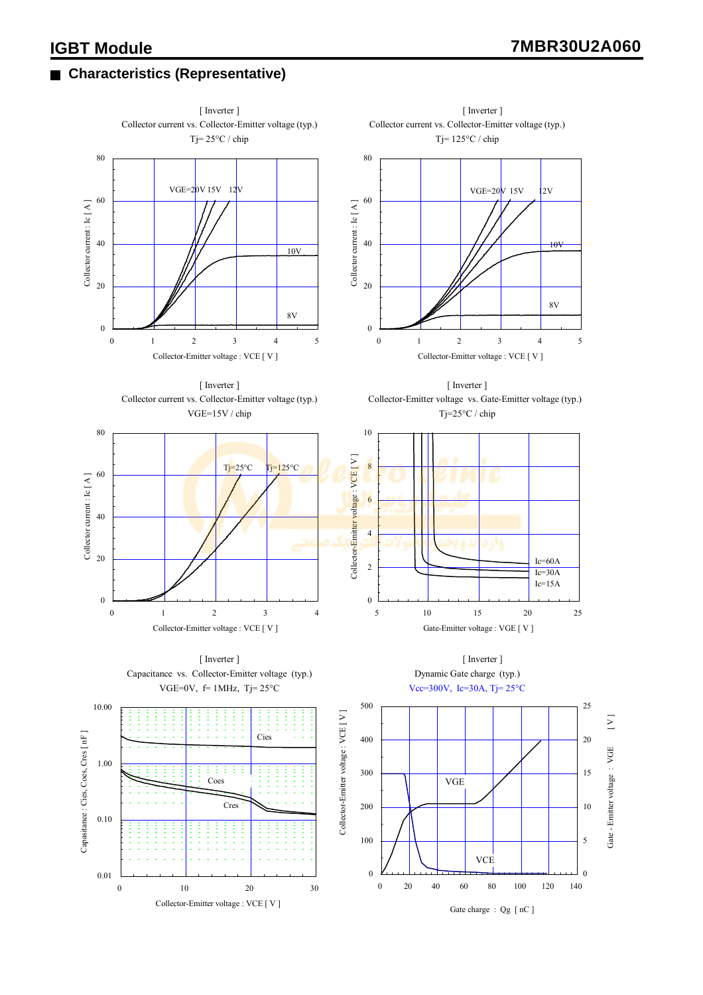### **Characteristics (Representative)**

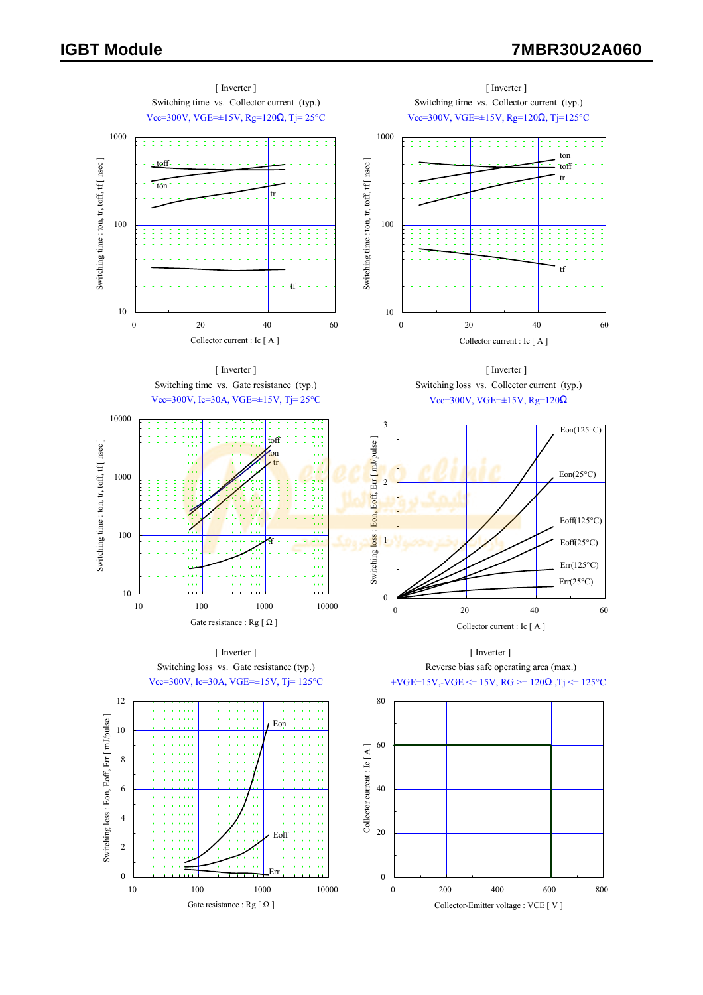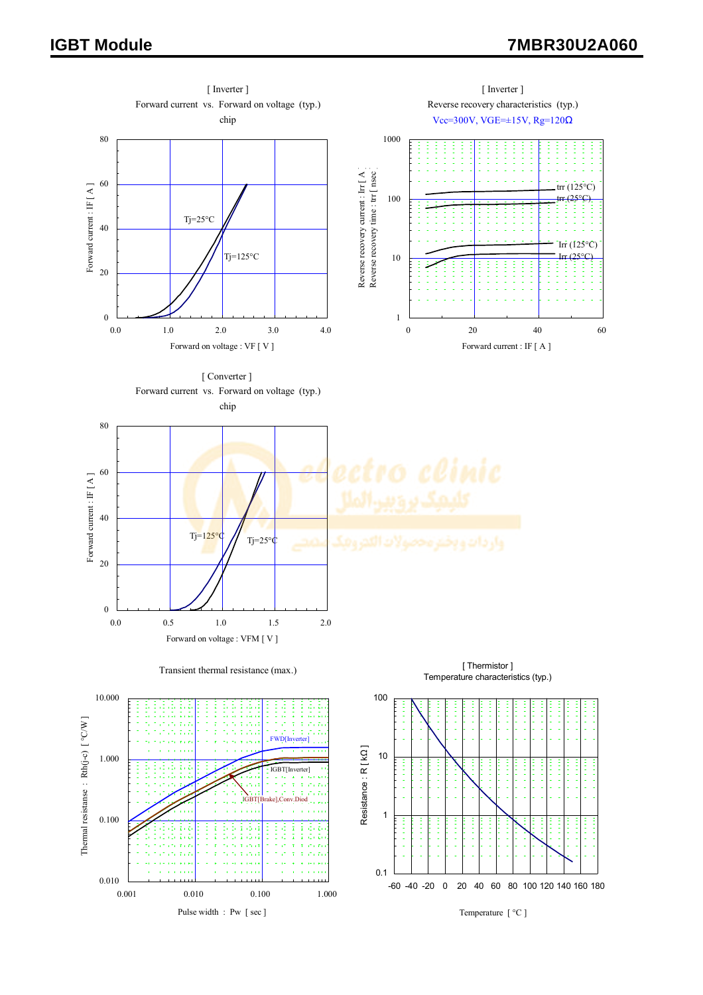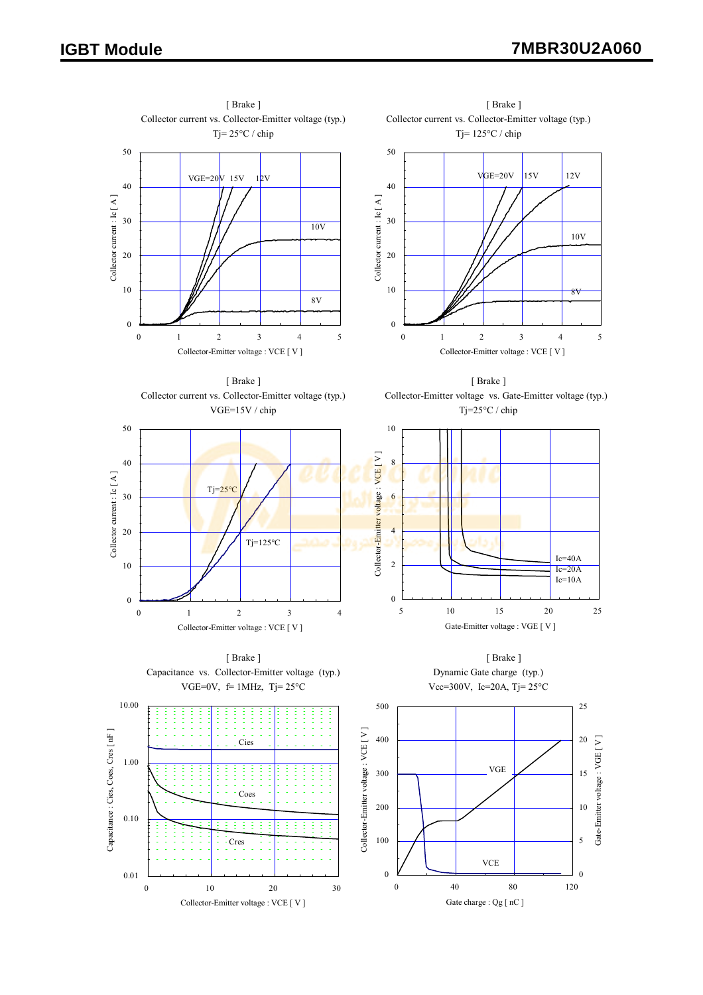